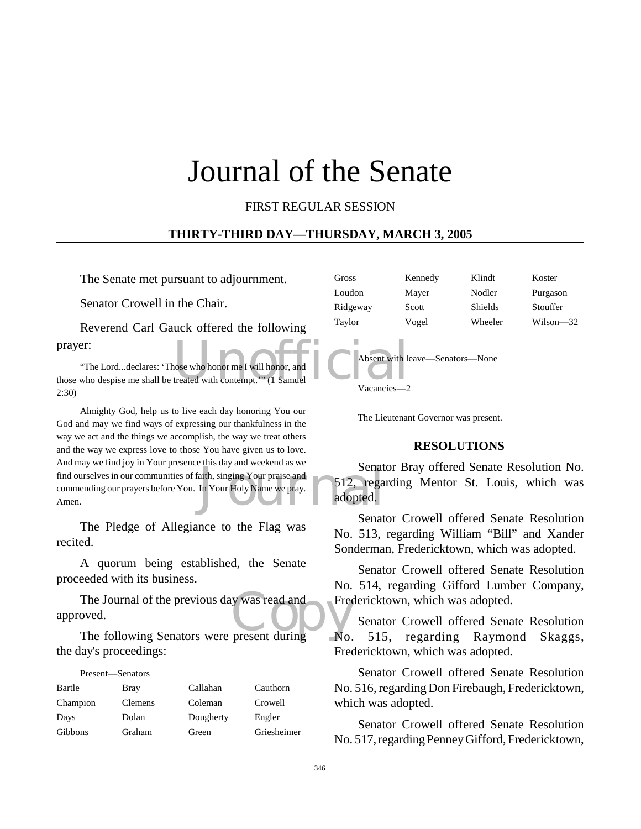# Journal of the Senate

#### FIRST REGULAR SESSION

#### **THIRTY-THIRD DAY—THURSDAY, MARCH 3, 2005**

The Senate met pursuant to adjournment.

Senator Crowell in the Chair.

Reverend Carl Gauck offered the following prayer:

Nose who honor me I will honor, and "The Lord...declares: 'Those who honor me I will honor, and those who despise me shall be treated with contempt.'" (1 Samuel 2:30)

Senation Containst and Senation Senation Senation Senation Senation Senation Senation Senation Senation Senation Senation Senation Senation Senation Senation Senation Senation Senation Senation Senation Senation Senation S Almighty God, help us to live each day honoring You our God and may we find ways of expressing our thankfulness in the way we act and the things we accomplish, the way we treat others and the way we express love to those You have given us to love. And may we find joy in Your presence this day and weekend as we find ourselves in our communities of faith, singing Your praise and commending our prayers before You. In Your Holy Name we pray. Amen.

The Pledge of Allegiance to the Flag was recited.

A quorum being established, the Senate proceeded with its business.

The Journal of the previous day was read and<br>
The following Senators were present during<br>
No. approved.

The following Senators were present during the day's proceedings:

#### Present—Senators

| Bartle   | Bray    | Callahan  | Cauthorn    |
|----------|---------|-----------|-------------|
| Champion | Clemens | Coleman   | Crowell     |
| Days     | Dolan   | Dougherty | Engler      |
| Gibbons  | Graham  | Green     | Griesheimer |

| Gross    | Kennedy | Klindt         | Koster      |
|----------|---------|----------------|-------------|
| Loudon   | Mayer   | Nodler         | Purgason    |
| Ridgeway | Scott   | <b>Shields</b> | Stouffer    |
| Taylor   | Vogel   | Wheeler        | $Wilson-32$ |



The Lieutenant Governor was present.

#### **RESOLUTIONS**

Senator Bray offered Senate Resolution No. 512, regarding Mentor St. Louis, which was adopted.

Senator Crowell offered Senate Resolution No. 513, regarding William "Bill" and Xander Sonderman, Fredericktown, which was adopted.

Senator Crowell offered Senate Resolution No. 514, regarding Gifford Lumber Company, Fredericktown, which was adopted.

Senator Crowell offered Senate Resolution No. 515, regarding Raymond Skaggs, Fredericktown, which was adopted.

Senator Crowell offered Senate Resolution No. 516, regarding Don Firebaugh, Fredericktown, which was adopted.

Senator Crowell offered Senate Resolution No. 517, regarding Penney Gifford, Fredericktown,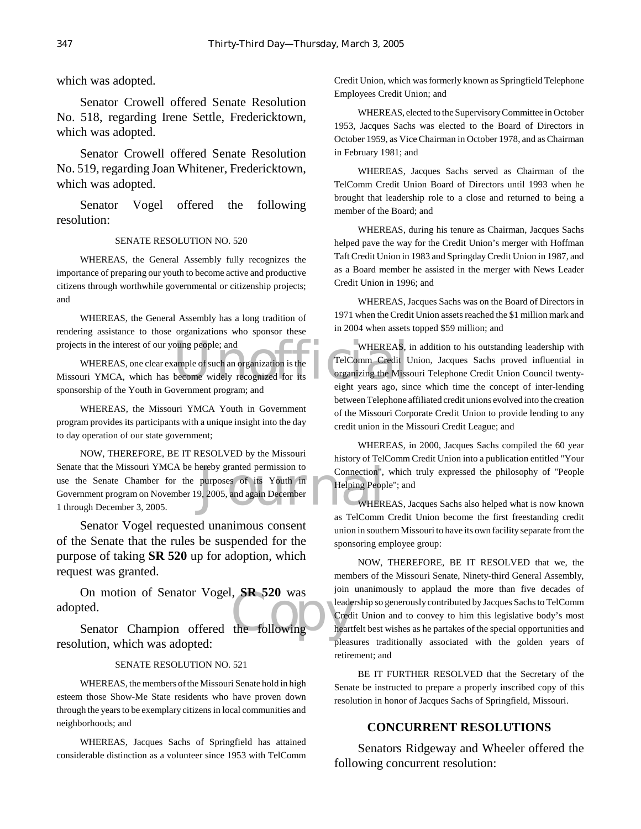#### which was adopted.

Senator Crowell offered Senate Resolution No. 518, regarding Irene Settle, Fredericktown, which was adopted.

Senator Crowell offered Senate Resolution No. 519, regarding Joan Whitener, Fredericktown, which was adopted.

Senator Vogel offered the following resolution:

#### SENATE RESOLUTION NO. 520

WHEREAS, the General Assembly fully recognizes the importance of preparing our youth to become active and productive citizens through worthwhile governmental or citizenship projects; and

WHEREAS, the General Assembly has a long tradition of rendering assistance to those organizations who sponsor these projects in the interest of our young people; and

oung people; and<br>
ample of such an organization is the<br>
become widely recognized for its<br>
Universe ago, since the success of the success of the success of the success of the success of the success of the success of the suc WHEREAS, one clear example of such an organization is the Missouri YMCA, which has become widely recognized for its sponsorship of the Youth in Government program; and

WHEREAS, the Missouri YMCA Youth in Government program provides its participants with a unique insight into the day to day operation of our state government;

ereby granted permission to<br>purposes of its Youth in<br>9, 2005, and again December<br>WHER NOW, THEREFORE, BE IT RESOLVED by the Missouri Senate that the Missouri YMCA be hereby granted permission to use the Senate Chamber for the purposes of its Youth in Government program on November 19, 2005, and again December 1 through December 3, 2005.

Senator Vogel requested unanimous consent of the Senate that the rules be suspended for the purpose of taking **SR 520** up for adoption, which request was granted.

On motion of Senator Vogel, SR 520 was<br>
ted.<br>
Senator Champion offered the following On motion of Senator Vogel, **SR 520** was adopted.

resolution, which was adopted:

#### SENATE RESOLUTION NO. 521

WHEREAS, the members of the Missouri Senate hold in high esteem those Show-Me State residents who have proven down through the years to be exemplary citizens in local communities and neighborhoods; and

WHEREAS, Jacques Sachs of Springfield has attained considerable distinction as a volunteer since 1953 with TelComm Credit Union, which was formerly known as Springfield Telephone Employees Credit Union; and

WHEREAS, elected to the Supervisory Committee in October 1953, Jacques Sachs was elected to the Board of Directors in October 1959, as Vice Chairman in October 1978, and as Chairman in February 1981; and

WHEREAS, Jacques Sachs served as Chairman of the TelComm Credit Union Board of Directors until 1993 when he brought that leadership role to a close and returned to being a member of the Board; and

WHEREAS, during his tenure as Chairman, Jacques Sachs helped pave the way for the Credit Union's merger with Hoffman Taft Credit Union in 1983 and Springday Credit Union in 1987, and as a Board member he assisted in the merger with News Leader Credit Union in 1996; and

WHEREAS, Jacques Sachs was on the Board of Directors in 1971 when the Credit Union assets reached the \$1 million mark and in 2004 when assets topped \$59 million; and

WHEREAS, in addition to his outstanding leadership with TelComm Credit Union, Jacques Sachs proved influential in organizing the Missouri Telephone Credit Union Council twentyeight years ago, since which time the concept of inter-lending between Telephone affiliated credit unions evolved into the creation of the Missouri Corporate Credit Union to provide lending to any credit union in the Missouri Credit League; and

WHEREAS, in 2000, Jacques Sachs compiled the 60 year history of TelComm Credit Union into a publication entitled "Your Connection", which truly expressed the philosophy of "People Helping People"; and

WHEREAS, Jacques Sachs also helped what is now known as TelComm Credit Union become the first freestanding credit union in southern Missouri to have its own facility separate from the sponsoring employee group:

NOW, THEREFORE, BE IT RESOLVED that we, the members of the Missouri Senate, Ninety-third General Assembly, join unanimously to applaud the more than five decades of leadership so generously contributed by Jacques Sachs to TelComm Credit Union and to convey to him this legislative body's most heartfelt best wishes as he partakes of the special opportunities and pleasures traditionally associated with the golden years of retirement; and

BE IT FURTHER RESOLVED that the Secretary of the Senate be instructed to prepare a properly inscribed copy of this resolution in honor of Jacques Sachs of Springfield, Missouri.

#### **CONCURRENT RESOLUTIONS**

Senators Ridgeway and Wheeler offered the following concurrent resolution: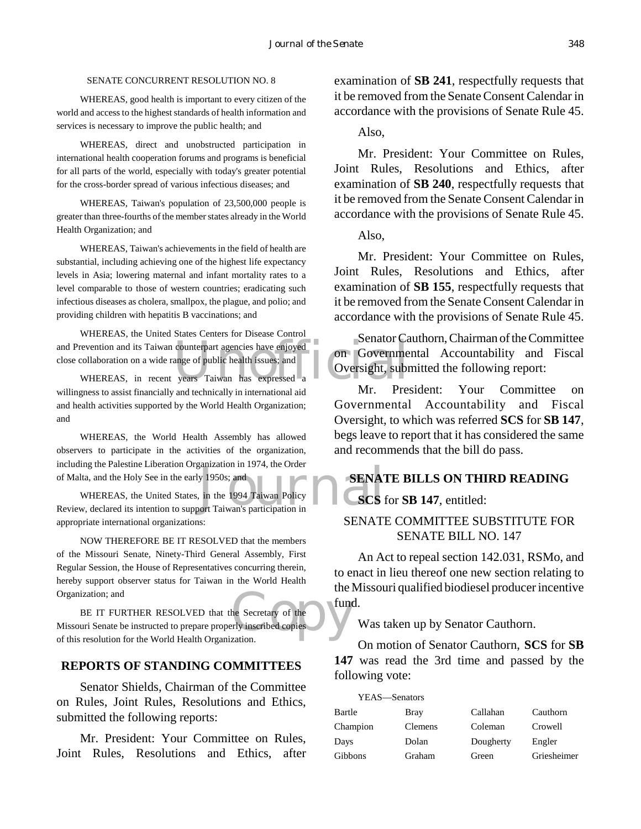#### SENATE CONCURRENT RESOLUTION NO. 8

WHEREAS, good health is important to every citizen of the world and access to the highest standards of health information and services is necessary to improve the public health; and

WHEREAS, direct and unobstructed participation in international health cooperation forums and programs is beneficial for all parts of the world, especially with today's greater potential for the cross-border spread of various infectious diseases; and

WHEREAS, Taiwan's population of 23,500,000 people is greater than three-fourths of the member states already in the World Health Organization; and

WHEREAS, Taiwan's achievements in the field of health are substantial, including achieving one of the highest life expectancy levels in Asia; lowering maternal and infant mortality rates to a level comparable to those of western countries; eradicating such infectious diseases as cholera, smallpox, the plague, and polio; and providing children with hepatitis B vaccinations; and

and Prevention and its Taiwan counterpart agencies have enjoyed<br>
close collaboration on a wide range of public health issues; and<br>
WHEREAS, in recent years Taiwan has expressed a WHEREAS, the United States Centers for Disease Control close collaboration on a wide range of public health issues; and

WHEREAS, in recent years Taiwan has expressed a willingness to assist financially and technically in international aid and health activities supported by the World Health Organization; and

WHEREAS, the World Health Assembly has allowed observers to participate in the activities of the organization, including the Palestine Liberation Organization in 1974, the Order of Malta, and the Holy See in the early 1950s; and

y 1950s; and<br>
in the 1994 Taiwan Policy<br>
Fort Taiwan's participation in WHEREAS, the United States, in the 1994 Taiwan Policy Review, declared its intention to support Taiwan's participation in appropriate international organizations:

NOW THEREFORE BE IT RESOLVED that the members of the Missouri Senate, Ninety-Third General Assembly, First Regular Session, the House of Representatives concurring therein, hereby support observer status for Taiwan in the World Health Organization; and

time<br>
the Secretary of the<br>
rly inscribed copies BE IT FURTHER RESOLVED that the Secretary of the Missouri Senate be instructed to prepare properly inscribed copies of this resolution for the World Health Organization.

#### **REPORTS OF STANDING COMMITTEES**

Senator Shields, Chairman of the Committee on Rules, Joint Rules, Resolutions and Ethics, submitted the following reports:

Mr. President: Your Committee on Rules, Joint Rules, Resolutions and Ethics, after

examination of **SB 241**, respectfully requests that it be removed from the Senate Consent Calendar in accordance with the provisions of Senate Rule 45.

#### Also,

Mr. President: Your Committee on Rules, Joint Rules, Resolutions and Ethics, after examination of **SB 240**, respectfully requests that it be removed from the Senate Consent Calendar in accordance with the provisions of Senate Rule 45.

Also,

Mr. President: Your Committee on Rules, Joint Rules, Resolutions and Ethics, after examination of **SB 155**, respectfully requests that it be removed from the Senate Consent Calendar in accordance with the provisions of Senate Rule 45.

Senator Cauthorn, Chairman of the Committee on Governmental Accountability and Fiscal Oversight, submitted the following report:

Mr. President: Your Committee on Governmental Accountability and Fiscal Oversight, to which was referred **SCS** for **SB 147**, begs leave to report that it has considered the same and recommends that the bill do pass.

# **SENATE BILLS ON THIRD READING SCS** for **SB 147**, entitled:

# SENATE COMMITTEE SUBSTITUTE FOR SENATE BILL NO. 147

An Act to repeal section 142.031, RSMo, and to enact in lieu thereof one new section relating to the Missouri qualified biodiesel producer incentive fund.

Was taken up by Senator Cauthorn.

On motion of Senator Cauthorn, **SCS** for **SB 147** was read the 3rd time and passed by the following vote:

| YEAS-Senators |             |           |             |
|---------------|-------------|-----------|-------------|
| Bartle        | <b>Bray</b> | Callahan  | Cauthorn    |
| Champion      | Clemens     | Coleman   | Crowell     |
| Days          | Dolan       | Dougherty | Engler      |
| Gibbons       | Graham      | Green     | Griesheimer |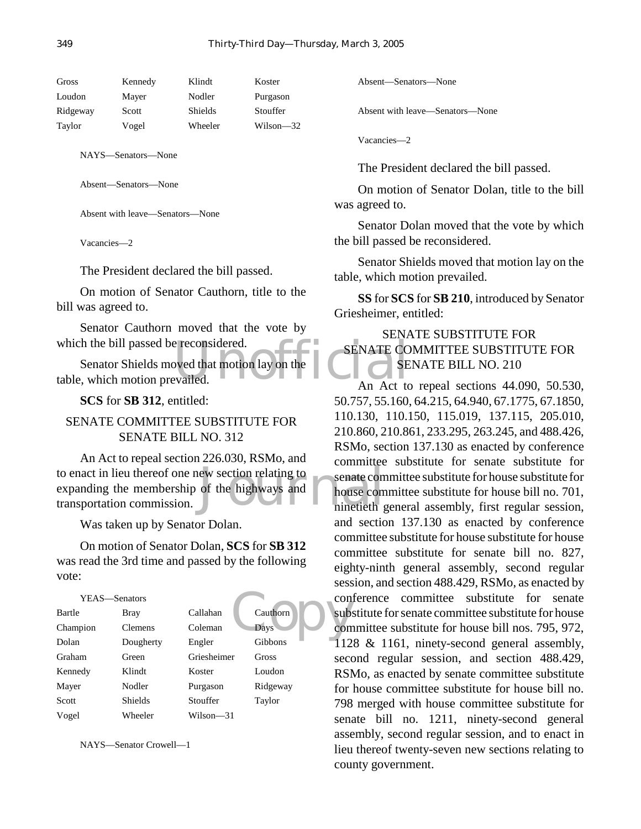| Gross    | Kennedy | Klindt  | Koster    |
|----------|---------|---------|-----------|
| Loudon   | Mayer   | Nodler  | Purgason  |
| Ridgeway | Scott   | Shields | Stouffer  |
| Taylor   | Vogel   | Wheeler | Wilson—32 |
|          |         |         |           |

NAYS—Senators—None

Absent—Senators—None

Absent with leave—Senators—None

Vacancies—2

The President declared the bill passed.

On motion of Senator Cauthorn, title to the bill was agreed to.

Senator Cauthorn moved that the vote by which the bill passed be reconsidered.

Example a reconsidered.<br>
SENATE CO<br>
evailed. An Act to Senator Shields moved that motion lay on the table, which motion prevailed.

**SCS** for **SB 312**, entitled:

# SENATE COMMITTEE SUBSTITUTE FOR SENATE BILL NO. 312

ew section relating to<br>
of the highways and<br>
ninetieth g An Act to repeal section 226.030, RSMo, and to enact in lieu thereof one new section relating to expanding the membership of the highways and transportation commission.

Was taken up by Senator Dolan.

On motion of Senator Dolan, **SCS** for **SB 312** was read the 3rd time and passed by the following vote:

| YEAS-Senators |                |             |          | con        |
|---------------|----------------|-------------|----------|------------|
| Bartle        | Bray           | Callahan    | Cauthorn | sub:       |
| Champion      | <b>Clemens</b> | Coleman     | Days     | con        |
| Dolan         | Dougherty      | Engler      | Gibbons  | 12         |
| Graham        | Green          | Griesheimer | Gross    | seco       |
| Kennedy       | Klindt         | Koster      | Loudon   | <b>RSI</b> |
| Mayer         | Nodler         | Purgason    | Ridgeway | for        |
| Scott         | <b>Shields</b> | Stouffer    | Taylor   | 798        |
| Vogel         | Wheeler        | Wilson—31   |          | sena       |

NAYS—Senator Crowell—1

Absent—Senators—None

Absent with leave—Senators—None

Vacancies—2

The President declared the bill passed.

On motion of Senator Dolan, title to the bill was agreed to.

Senator Dolan moved that the vote by which the bill passed be reconsidered.

Senator Shields moved that motion lay on the table, which motion prevailed.

**SS** for **SCS** for **SB 210**, introduced by Senator Griesheimer, entitled:

# SENATE SUBSTITUTE FOR SENATE COMMITTEE SUBSTITUTE FOR SENATE BILL NO. 210

An Act to repeal sections 44.090, 50.530, 50.757, 55.160, 64.215, 64.940, 67.1775, 67.1850, 110.130, 110.150, 115.019, 137.115, 205.010, 210.860, 210.861, 233.295, 263.245, and 488.426, RSMo, section 137.130 as enacted by conference committee substitute for senate substitute for senate committee substitute for house substitute for house committee substitute for house bill no. 701, ninetieth general assembly, first regular session, and section 137.130 as enacted by conference committee substitute for house substitute for house committee substitute for senate bill no. 827, eighty-ninth general assembly, second regular session, and section 488.429, RSMo, as enacted by conference committee substitute for senate substitute for senate committee substitute for house committee substitute for house bill nos. 795, 972,  $\leq$  1128 & 1161, ninety-second general assembly, second regular session, and section 488.429, RSMo, as enacted by senate committee substitute for house committee substitute for house bill no. 798 merged with house committee substitute for senate bill no. 1211, ninety-second general assembly, second regular session, and to enact in lieu thereof twenty-seven new sections relating to county government.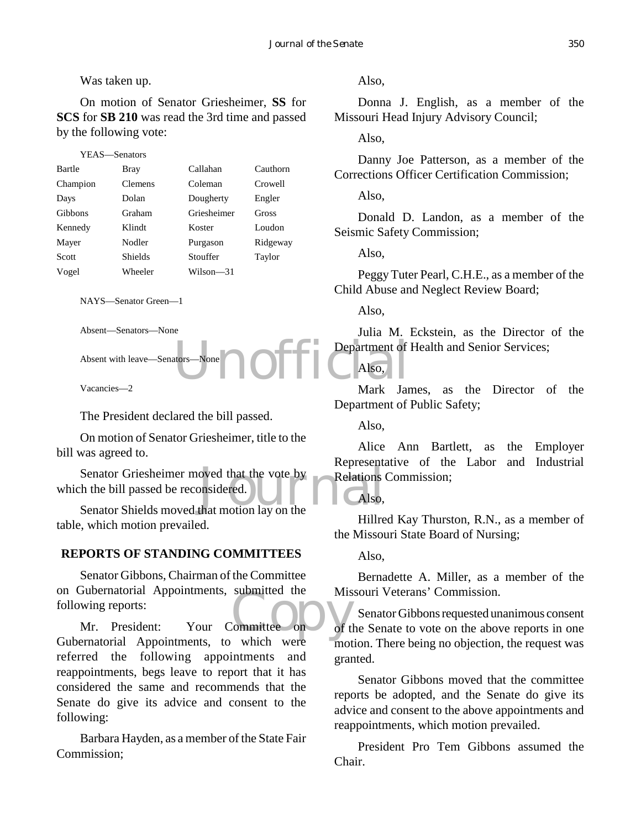### Was taken up.

On motion of Senator Griesheimer, **SS** for **SCS** for **SB 210** was read the 3rd time and passed by the following vote:

| YEAS—Senators |                |             |          |
|---------------|----------------|-------------|----------|
| Bartle        | Bray           | Callahan    | Cauthorn |
| Champion      | <b>Clemens</b> | Coleman     | Crowell  |
| Days          | Dolan          | Dougherty   | Engler   |
| Gibbons       | Graham         | Griesheimer | Gross    |
| Kennedy       | Klindt         | Koster      | Loudon   |
| Mayer         | Nodler         | Purgason    | Ridgeway |
| Scott         | <b>Shields</b> | Stouffer    | Taylor   |
| Vogel         | Wheeler        | Wilson—31   |          |
|               |                |             |          |

NAYS—Senator Green—1

Absent—Senators—None

Absent with leave—Senators—None

Vacancies—2

The President declared the bill passed.

On motion of Senator Griesheimer, title to the bill was agreed to.

Senator Griesheimer moved that the vote by<br>
the bill passed be reconsidered.<br>
Senator Shields moved that motion lay on the Senator Griesheimer moved that the vote by which the bill passed be reconsidered.

table, which motion prevailed.

### **REPORTS OF STANDING COMMITTEES**

Subernatorial Appointments, submitted the<br>
wing reports:<br>
Mr. President: Your Committee on of t Senator Gibbons, Chairman of the Committee on Gubernatorial Appointments, submitted the following reports:

Gubernatorial Appointments, to which were referred the following appointments and reappointments, begs leave to report that it has considered the same and recommends that the Senate do give its advice and consent to the following:

Barbara Hayden, as a member of the State Fair Commission;

Also,

Donna J. English, as a member of the Missouri Head Injury Advisory Council;

Also,

Danny Joe Patterson, as a member of the Corrections Officer Certification Commission;

Also,

Donald D. Landon, as a member of the Seismic Safety Commission;

Also,

Peggy Tuter Pearl, C.H.E., as a member of the Child Abuse and Neglect Review Board;

Also,

Also,

dtors-None Julia M. Eckstein, as the Director of the Department of Health and Senior Services;

Mark James, as the Director of the Department of Public Safety;

Also,

Alice Ann Bartlett, as the Employer Representative of the Labor and Industrial Relations Commission;

Also,

Hillred Kay Thurston, R.N., as a member of the Missouri State Board of Nursing;

Also,

Bernadette A. Miller, as a member of the Missouri Veterans' Commission.

Senator Gibbons requested unanimous consent of the Senate to vote on the above reports in one motion. There being no objection, the request was granted.

Senator Gibbons moved that the committee reports be adopted, and the Senate do give its advice and consent to the above appointments and reappointments, which motion prevailed.

President Pro Tem Gibbons assumed the Chair.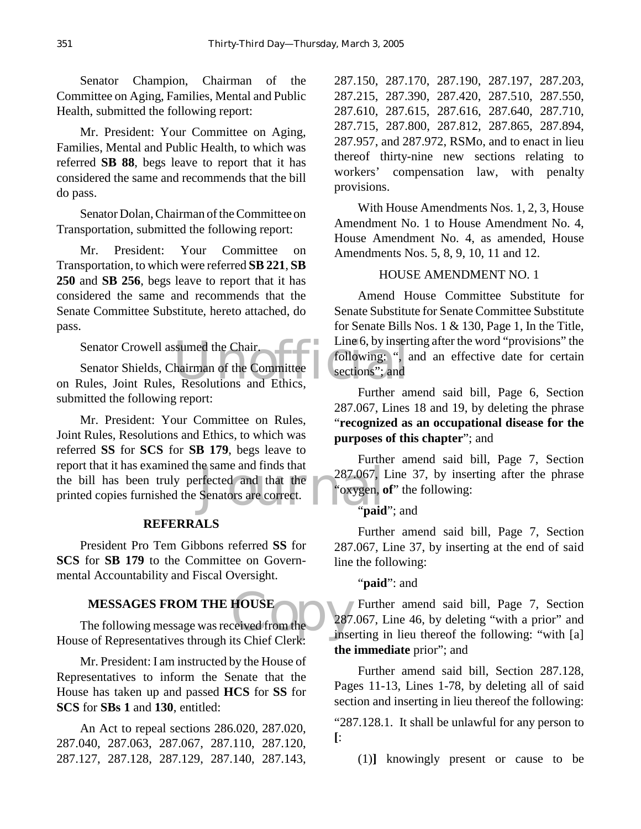Senator Champion, Chairman of the Committee on Aging, Families, Mental and Public Health, submitted the following report:

Mr. President: Your Committee on Aging, Families, Mental and Public Health, to which was referred **SB 88**, begs leave to report that it has considered the same and recommends that the bill do pass.

Senator Dolan, Chairman of the Committee on Transportation, submitted the following report:

Mr. President: Your Committee on Transportation, to which were referred **SB 221**, **SB 250** and **SB 256**, begs leave to report that it has considered the same and recommends that the Senate Committee Substitute, hereto attached, do pass.

Senator Crowell assumed the Chair.

Sumed the Chair.<br>
hairman of the Committee dections"; and<br>
Resolutions and Ethics, Senator Shields, Chairman of the Committee on Rules, Joint Rules, Resolutions and Ethics, submitted the following report:

e same and finds that<br>
ffected and that the 287.067, l<br>
Senators are correct.<br> **Senators** are correct. Mr. President: Your Committee on Rules, Joint Rules, Resolutions and Ethics, to which was referred **SS** for **SCS** for **SB 179**, begs leave to report that it has examined the same and finds that the bill has been truly perfected and that the printed copies furnished the Senators are correct.

#### **REFERRALS**

President Pro Tem Gibbons referred **SS** for **SCS** for **SB 179** to the Committee on Governmental Accountability and Fiscal Oversight.

#### **MESSAGES FROM THE HOUSE**

HOUSE<br>
Ceived from the 287 The following message was received from the House of Representatives through its Chief Clerk:

Mr. President: I am instructed by the House of Representatives to inform the Senate that the House has taken up and passed **HCS** for **SS** for **SCS** for **SBs 1** and **130**, entitled:

An Act to repeal sections 286.020, 287.020, 287.040, 287.063, 287.067, 287.110, 287.120, 287.127, 287.128, 287.129, 287.140, 287.143, 287.150, 287.170, 287.190, 287.197, 287.203, 287.215, 287.390, 287.420, 287.510, 287.550, 287.610, 287.615, 287.616, 287.640, 287.710, 287.715, 287.800, 287.812, 287.865, 287.894, 287.957, and 287.972, RSMo, and to enact in lieu thereof thirty-nine new sections relating to workers' compensation law, with penalty provisions.

With House Amendments Nos. 1, 2, 3, House Amendment No. 1 to House Amendment No. 4, House Amendment No. 4, as amended, House Amendments Nos. 5, 8, 9, 10, 11 and 12.

#### HOUSE AMENDMENT NO. 1

Amend House Committee Substitute for Senate Substitute for Senate Committee Substitute for Senate Bills Nos. 1 & 130, Page 1, In the Title, Line 6, by inserting after the word "provisions" the following: ", and an effective date for certain sections"; and

Further amend said bill, Page 6, Section 287.067, Lines 18 and 19, by deleting the phrase "**recognized as an occupational disease for the purposes of this chapter**"; and

Further amend said bill, Page 7, Section 287.067, Line 37, by inserting after the phrase "oxygen, **of**" the following:

#### "**paid**"; and

Further amend said bill, Page 7, Section 287.067, Line 37, by inserting at the end of said line the following:

"**paid**": and

Further amend said bill, Page 7, Section 287.067, Line 46, by deleting "with a prior" and inserting in lieu thereof the following: "with [a] **the immediate** prior"; and

Further amend said bill, Section 287.128, Pages 11-13, Lines 1-78, by deleting all of said section and inserting in lieu thereof the following:

"287.128.1. It shall be unlawful for any person to **[**:

(1)**]** knowingly present or cause to be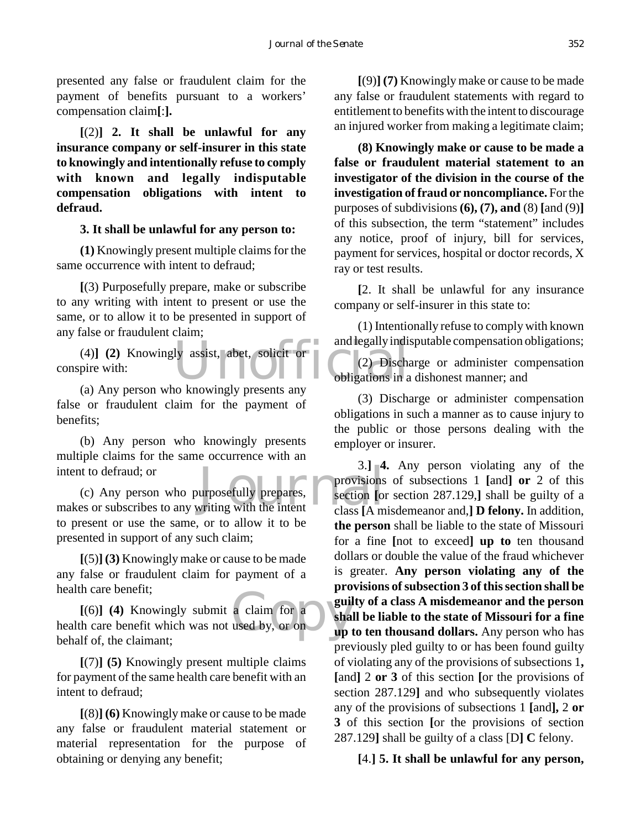presented any false or fraudulent claim for the payment of benefits pursuant to a workers' compensation claim**[**:**].**

**[**(2)**] 2. It shall be unlawful for any insurance company or self-insurer in this state to knowingly and intentionally refuse to comply with known and legally indisputable compensation obligations with intent to defraud.**

#### **3. It shall be unlawful for any person to:**

**(1)** Knowingly present multiple claims for the same occurrence with intent to defraud;

**[**(3) Purposefully prepare, make or subscribe to any writing with intent to present or use the same, or to allow it to be presented in support of any false or fraudulent claim;

ly assist, abet, solicit or<br>
(2) Discharged and legally indi-<br>
(2) Discharged by the obligations in a (4)**] (2)** Knowingly assist, abet, solicit or conspire with:

(a) Any person who knowingly presents any false or fraudulent claim for the payment of benefits;

(b) Any person who knowingly presents multiple claims for the same occurrence with an intent to defraud; or

intent to defraud; or<br>
(c) Any person who purposefully prepares,<br>
makes or subscribes to any writing with the intent class [A m (c) Any person who purposefully prepares, to present or use the same, or to allow it to be presented in support of any such claim;

**[**(5)**] (3)** Knowingly make or cause to be made any false or fraudulent claim for payment of a health care benefit;

a claim for a  $\begin{array}{c} \mathbf{gru} \\ \mathbf{gui} \\ \mathbf{wdu} \\ \mathbf{gui} \\ \mathbf{gui} \\ \mathbf{gui} \\ \mathbf{gui} \\ \mathbf{gui} \\ \mathbf{gui} \end{array}$ **[**(6)**] (4)** Knowingly submit a claim for a health care benefit which was not used by, or on behalf of, the claimant;

**[**(7)**] (5)** Knowingly present multiple claims for payment of the same health care benefit with an intent to defraud;

**[**(8)**] (6)** Knowingly make or cause to be made any false or fraudulent material statement or material representation for the purpose of obtaining or denying any benefit;

**[**(9)**] (7)** Knowingly make or cause to be made any false or fraudulent statements with regard to entitlement to benefits with the intent to discourage an injured worker from making a legitimate claim;

**(8) Knowingly make or cause to be made a false or fraudulent material statement to an investigator of the division in the course of the investigation of fraud or noncompliance.** For the purposes of subdivisions **(6), (7), and** (8) **[**and (9)**]** of this subsection, the term "statement" includes any notice, proof of injury, bill for services, payment for services, hospital or doctor records, X ray or test results.

**[**2. It shall be unlawful for any insurance company or self-insurer in this state to:

(1) Intentionally refuse to comply with known and legally indisputable compensation obligations;

(2) Discharge or administer compensation obligations in a dishonest manner; and

(3) Discharge or administer compensation obligations in such a manner as to cause injury to the public or those persons dealing with the employer or insurer.

3.**] 4.** Any person violating any of the provisions of subsections 1 **[**and**] or** 2 of this section **[**or section 287.129,**]** shall be guilty of a class **[**A misdemeanor and,**] D felony.** In addition, **the person** shall be liable to the state of Missouri for a fine **[**not to exceed**] up to** ten thousand dollars or double the value of the fraud whichever is greater. **Any person violating any of the provisions of subsection 3 of this section shall be guilty of a class A misdemeanor and the person shall be liable to the state of Missouri for a fine up to ten thousand dollars.** Any person who has previously pled guilty to or has been found guilty of violating any of the provisions of subsections 1**, [**and**]** 2 **or 3** of this section **[**or the provisions of section 287.129**]** and who subsequently violates any of the provisions of subsections 1 **[**and**],** 2 **or 3** of this section **[**or the provisions of section 287.129**]** shall be guilty of a class [D**] C** felony.

**[**4.**] 5. It shall be unlawful for any person,**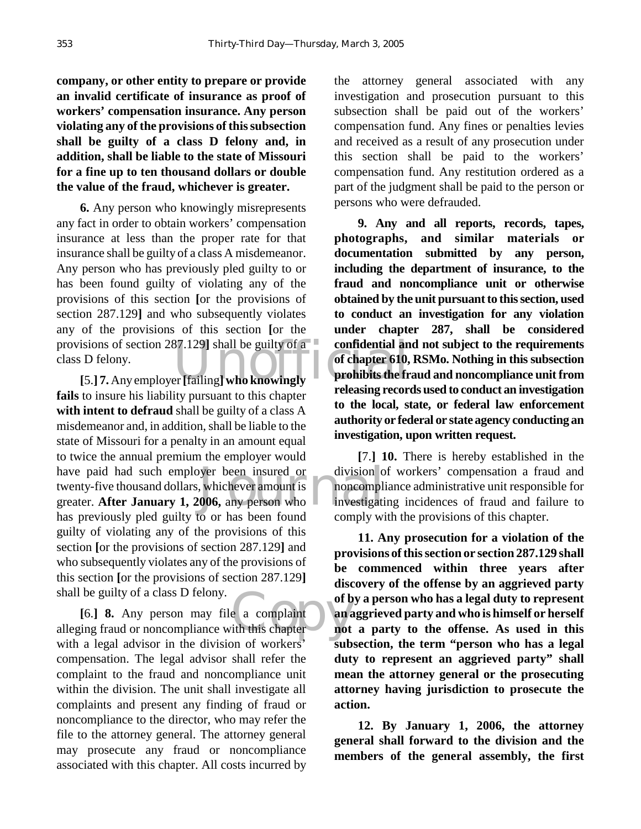**company, or other entity to prepare or provide an invalid certificate of insurance as proof of workers' compensation insurance. Any person violating any of the provisions of this subsection shall be guilty of a class D felony and, in addition, shall be liable to the state of Missouri for a fine up to ten thousand dollars or double the value of the fraud, whichever is greater.**

provisions of section 287.129**]** shall be guilty of a confidential an class D felony.<br>
[5.] 7. Any employer [failing] who knowingly releasing reservative to the fr **6.** Any person who knowingly misrepresents any fact in order to obtain workers' compensation insurance at less than the proper rate for that insurance shall be guilty of a class A misdemeanor. Any person who has previously pled guilty to or has been found guilty of violating any of the provisions of this section **[**or the provisions of section 287.129**]** and who subsequently violates any of the provisions of this section **[**or the class D felony.

have paid had such employer been insured or<br>
twenty-five thousand dollars, whichever amount is<br>
greater. **After January 1, 2006,** any person who<br>
has greater and a semi-variant person in the semi-variant **[**5.**] 7.** Any employer **[**failing**] who knowingly fails** to insure his liability pursuant to this chapter **with intent to defraud** shall be guilty of a class A misdemeanor and, in addition, shall be liable to the state of Missouri for a penalty in an amount equal to twice the annual premium the employer would have paid had such employer been insured or twenty-five thousand dollars, whichever amount is has previously pled guilty to or has been found guilty of violating any of the provisions of this section **[**or the provisions of section 287.129**]** and who subsequently violates any of the provisions of this section **[**or the provisions of section 287.129**]** shall be guilty of a class D felony.

e a complaint<br>
ith this chapter<br>  $\begin{array}{|c|c|}\n\hline\n\text{or} \\
\text{in} \\
\hline\n\text{out} \\
\hline\n\end{array}$ **[**6.**] 8.** Any person may file a complaint alleging fraud or noncompliance with this chapter with a legal advisor in the division of workers' compensation. The legal advisor shall refer the complaint to the fraud and noncompliance unit within the division. The unit shall investigate all complaints and present any finding of fraud or noncompliance to the director, who may refer the file to the attorney general. The attorney general may prosecute any fraud or noncompliance associated with this chapter. All costs incurred by

the attorney general associated with any investigation and prosecution pursuant to this subsection shall be paid out of the workers' compensation fund. Any fines or penalties levies and received as a result of any prosecution under this section shall be paid to the workers' compensation fund. Any restitution ordered as a part of the judgment shall be paid to the person or persons who were defrauded.

**9. Any and all reports, records, tapes, photographs, and similar materials or documentation submitted by any person, including the department of insurance, to the fraud and noncompliance unit or otherwise obtained by the unit pursuant to this section, used to conduct an investigation for any violation under chapter 287, shall be considered confidential and not subject to the requirements of chapter 610, RSMo. Nothing in this subsection prohibits the fraud and noncompliance unit from releasing records used to conduct an investigation to the local, state, or federal law enforcement authority or federal or state agency conducting an investigation, upon written request.**

**[**7.**] 10.** There is hereby established in the division of workers' compensation a fraud and noncompliance administrative unit responsible for investigating incidences of fraud and failure to comply with the provisions of this chapter.

**11. Any prosecution for a violation of the provisions of this section or section 287.129 shall be commenced within three years after discovery of the offense by an aggrieved party of by a person who has a legal duty to represent an aggrieved party and who is himself or herself not a party to the offense. As used in this subsection, the term "person who has a legal duty to represent an aggrieved party" shall mean the attorney general or the prosecuting attorney having jurisdiction to prosecute the action.**

**12. By January 1, 2006, the attorney general shall forward to the division and the members of the general assembly, the first**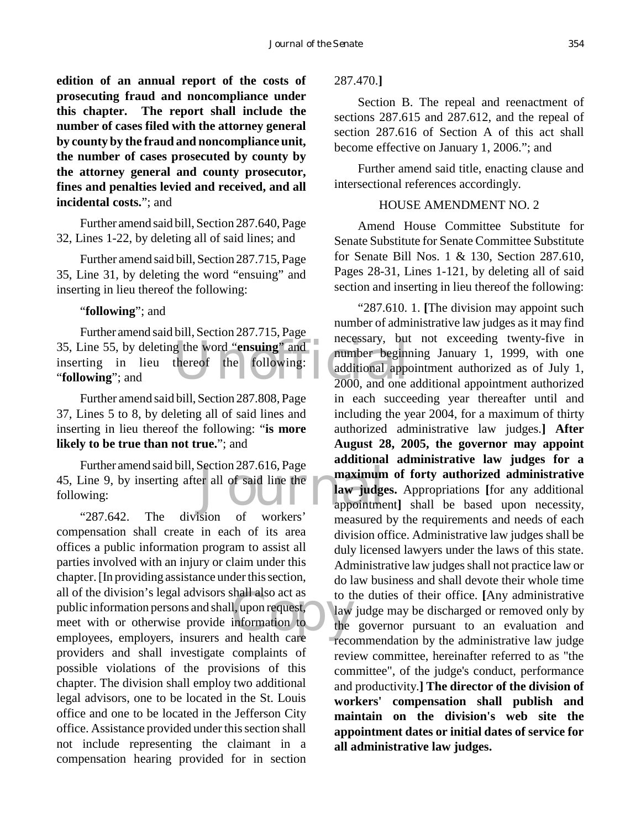**edition of an annual report of the costs of prosecuting fraud and noncompliance under this chapter. The report shall include the number of cases filed with the attorney general by county by the fraud and noncompliance unit, the number of cases prosecuted by county by the attorney general and county prosecutor, fines and penalties levied and received, and all incidental costs.**"; and

Further amend said bill, Section 287.640, Page 32, Lines 1-22, by deleting all of said lines; and

Further amend said bill, Section 287.715, Page 35, Line 31, by deleting the word "ensuing" and inserting in lieu thereof the following:

#### "**following**"; and

35, Line 55, by deleting the word "**ensuing**" and<br>
inserting in lieu thereof the following:<br> **COLOWING**" and approximate the and approximate the following:<br>  $2000$ , and one Further amend said bill, Section 287.715, Page inserting in lieu thereof the following: "**following**"; and

Further amend said bill, Section 287.808, Page 37, Lines 5 to 8, by deleting all of said lines and inserting in lieu thereof the following: "**is more likely to be true than not true.**"; and

Section 287.016, Page<br>er all of said line the **naximum**<br>appointme Further amend said bill, Section 287.616, Page 45, Line 9, by inserting after all of said line the following:

Shall also act as to the<br>
1, upon request, law<br>
information to the<br>
the the the the trece "287.642. The division of workers' compensation shall create in each of its area offices a public information program to assist all parties involved with an injury or claim under this chapter. [In providing assistance under this section, all of the division's legal advisors shall also act as public information persons and shall, upon request, meet with or otherwise provide information to employees, employers, insurers and health care providers and shall investigate complaints of possible violations of the provisions of this chapter. The division shall employ two additional legal advisors, one to be located in the St. Louis office and one to be located in the Jefferson City office. Assistance provided under this section shall not include representing the claimant in a compensation hearing provided for in section

287.470.**]**

Section B. The repeal and reenactment of sections 287.615 and 287.612, and the repeal of section 287.616 of Section A of this act shall become effective on January 1, 2006."; and

Further amend said title, enacting clause and intersectional references accordingly.

#### HOUSE AMENDMENT NO. 2

Amend House Committee Substitute for Senate Substitute for Senate Committee Substitute for Senate Bill Nos. 1 & 130, Section 287.610, Pages 28-31, Lines 1-121, by deleting all of said section and inserting in lieu thereof the following:

"287.610. 1. **[**The division may appoint such number of administrative law judges as it may find necessary, but not exceeding twenty-five in number beginning January 1, 1999, with one additional appointment authorized as of July 1, 2000, and one additional appointment authorized in each succeeding year thereafter until and including the year 2004, for a maximum of thirty authorized administrative law judges.**] After August 28, 2005, the governor may appoint additional administrative law judges for a maximum of forty authorized administrative law judges.** Appropriations **[**for any additional appointment**]** shall be based upon necessity, measured by the requirements and needs of each division office. Administrative law judges shall be duly licensed lawyers under the laws of this state. Administrative law judges shall not practice law or do law business and shall devote their whole time to the duties of their office. **[**Any administrative law judge may be discharged or removed only by the governor pursuant to an evaluation and **•** recommendation by the administrative law judge review committee, hereinafter referred to as "the committee", of the judge's conduct, performance and productivity.**] The director of the division of workers' compensation shall publish and maintain on the division's web site the appointment dates or initial dates of service for all administrative law judges.**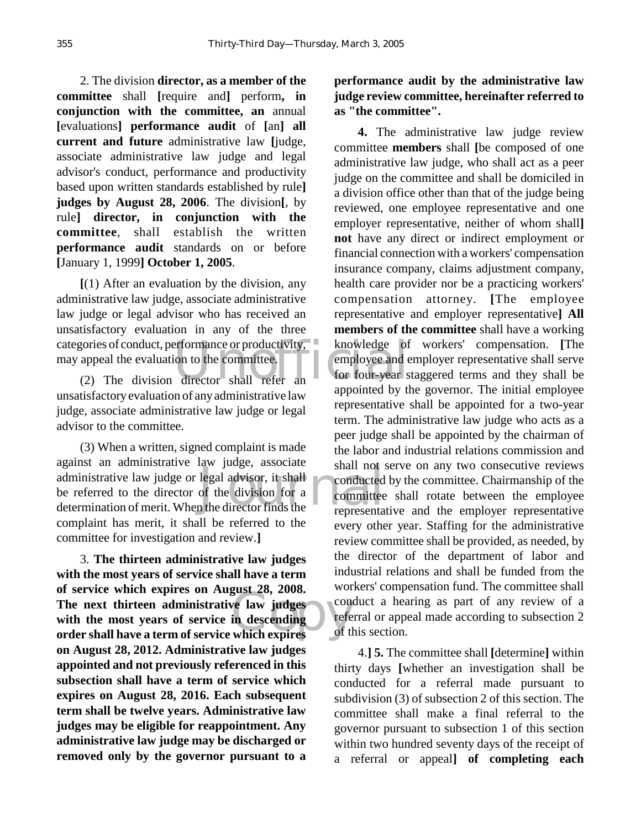2. The division **director, as a member of the committee** shall **[**require and**]** perform**, in conjunction with the committee, an** annual **[**evaluations**] performance audit** of **[**an**] all current and future** administrative law **[**judge, associate administrative law judge and legal advisor's conduct, performance and productivity based upon written standards established by rule**] judges by August 28, 2006**. The division**[**, by rule**] director, in conjunction with the committee**, shall establish the written **performance audit** standards on or before **[**January 1, 1999**] October 1, 2005**.

categories of conduct, performance or productivity, and showledge of may appeal the evaluation to the committee.<br>
(2) The division director shall refer and appropriate the committee of the committee of the showledge of the **[**(1) After an evaluation by the division, any administrative law judge, associate administrative law judge or legal advisor who has received an unsatisfactory evaluation in any of the three may appeal the evaluation to the committee.

(2) The division director shall refer an unsatisfactory evaluation of any administrative law judge, associate administrative law judge or legal advisor to the committee.

raw Judge, associate<br>legal advisor, it shall<br>of the division for a<br>in the director finds the (3) When a written, signed complaint is made against an administrative law judge, associate administrative law judge or legal advisor, it shall be referred to the director of the division for a determination of merit. When the director finds the complaint has merit, it shall be referred to the committee for investigation and review.**]**

re law judges<br>
in descending<br>
which expires<br>
of the contract of the contract of the contract of the contract of the contract of the contract of the contract of the contract of the contract of the contract of the contract o 3. **The thirteen administrative law judges with the most years of service shall have a term of service which expires on August 28, 2008. The next thirteen administrative law judges with the most years of service in descending order shall have a term of service which expires on August 28, 2012. Administrative law judges appointed and not previously referenced in this subsection shall have a term of service which expires on August 28, 2016. Each subsequent term shall be twelve years. Administrative law judges may be eligible for reappointment. Any administrative law judge may be discharged or removed only by the governor pursuant to a**

# **performance audit by the administrative law judge review committee, hereinafter referred to as "the committee".**

**4.** The administrative law judge review committee **members** shall **[**be composed of one administrative law judge, who shall act as a peer judge on the committee and shall be domiciled in a division office other than that of the judge being reviewed, one employee representative and one employer representative, neither of whom shall**] not** have any direct or indirect employment or financial connection with a workers' compensation insurance company, claims adjustment company, health care provider nor be a practicing workers' compensation attorney. **[**The employee representative and employer representative**] All members of the committee** shall have a working knowledge of workers' compensation. **[**The employee and employer representative shall serve for four-year staggered terms and they shall be appointed by the governor. The initial employee representative shall be appointed for a two-year term. The administrative law judge who acts as a peer judge shall be appointed by the chairman of the labor and industrial relations commission and shall not serve on any two consecutive reviews conducted by the committee. Chairmanship of the committee shall rotate between the employee representative and the employer representative every other year. Staffing for the administrative review committee shall be provided, as needed, by the director of the department of labor and industrial relations and shall be funded from the workers' compensation fund. The committee shall conduct a hearing as part of any review of a referral or appeal made according to subsection 2 of this section.

4.**] 5.** The committee shall **[**determine**]** within thirty days **[**whether an investigation shall be conducted for a referral made pursuant to subdivision (3) of subsection 2 of this section. The committee shall make a final referral to the governor pursuant to subsection 1 of this section within two hundred seventy days of the receipt of a referral or appeal**] of completing each**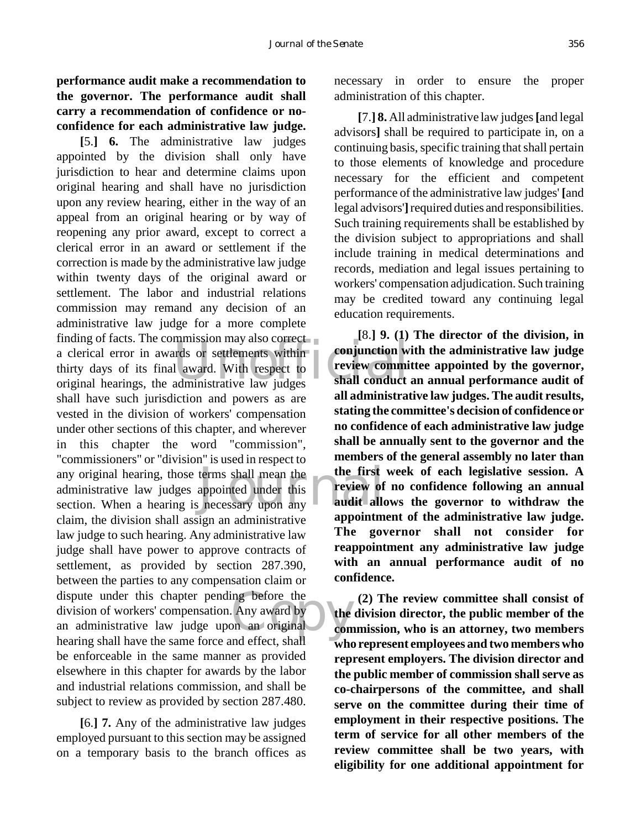# **performance audit make a recommendation to the governor. The performance audit shall carry a recommendation of confidence or noconfidence for each administrative law judge.**

Inding of facts. The commission may also correct<br>a clerical error in awards or settlements within<br>thirty days of its final award. With respect to<br>original hearings, the administrative law judges<br>shall conduct any original hearing, those terms shall mean the **the first**<br>administrative law judges appointed under this **and the review of**<br>section. When a hearing is necessary upon any ng before the<br>
Any award by<br>
on an original<br>
com<br>
and effect shall **[**5.**] 6.** The administrative law judges appointed by the division shall only have jurisdiction to hear and determine claims upon original hearing and shall have no jurisdiction upon any review hearing, either in the way of an appeal from an original hearing or by way of reopening any prior award, except to correct a clerical error in an award or settlement if the correction is made by the administrative law judge within twenty days of the original award or settlement. The labor and industrial relations commission may remand any decision of an administrative law judge for a more complete finding of facts. The commission may also correct a clerical error in awards or settlements within thirty days of its final award. With respect to shall have such jurisdiction and powers as are vested in the division of workers' compensation under other sections of this chapter, and wherever in this chapter the word "commission", "commissioners" or "division" is used in respect to any original hearing, those terms shall mean the administrative law judges appointed under this claim, the division shall assign an administrative law judge to such hearing. Any administrative law judge shall have power to approve contracts of settlement, as provided by section 287.390, between the parties to any compensation claim or dispute under this chapter pending before the division of workers' compensation. Any award by an administrative law judge upon an original hearing shall have the same force and effect, shallbe enforceable in the same manner as provided elsewhere in this chapter for awards by the labor and industrial relations commission, and shall be subject to review as provided by section 287.480.

**[**6.**] 7.** Any of the administrative law judges employed pursuant to this section may be assigned on a temporary basis to the branch offices as necessary in order to ensure the proper administration of this chapter.

**[**7.**] 8.** All administrative law judges **[**and legal advisors**]** shall be required to participate in, on a continuing basis, specific training that shall pertain to those elements of knowledge and procedure necessary for the efficient and competent performance of the administrative law judges' **[**and legal advisors'**]** required duties and responsibilities. Such training requirements shall be established by the division subject to appropriations and shall include training in medical determinations and records, mediation and legal issues pertaining to workers' compensation adjudication. Such training may be credited toward any continuing legal education requirements.

**[**8.**] 9. (1) The director of the division, in conjunction with the administrative law judge review committee appointed by the governor, shall conduct an annual performance audit of all administrative law judges. The audit results, stating the committee's decision of confidence or no confidence of each administrative law judge shall be annually sent to the governor and the members of the general assembly no later than the first week of each legislative session. A review of no confidence following an annual audit allows the governor to withdraw the appointment of the administrative law judge. The governor shall not consider for reappointment any administrative law judge with an annual performance audit of no confidence.**

**(2) The review committee shall consist of the division director, the public member of the commission, who is an attorney, two members who represent employees and two members who represent employers. The division director and the public member of commission shall serve as co-chairpersons of the committee, and shall serve on the committee during their time of employment in their respective positions. The term of service for all other members of the review committee shall be two years, with eligibility for one additional appointment for**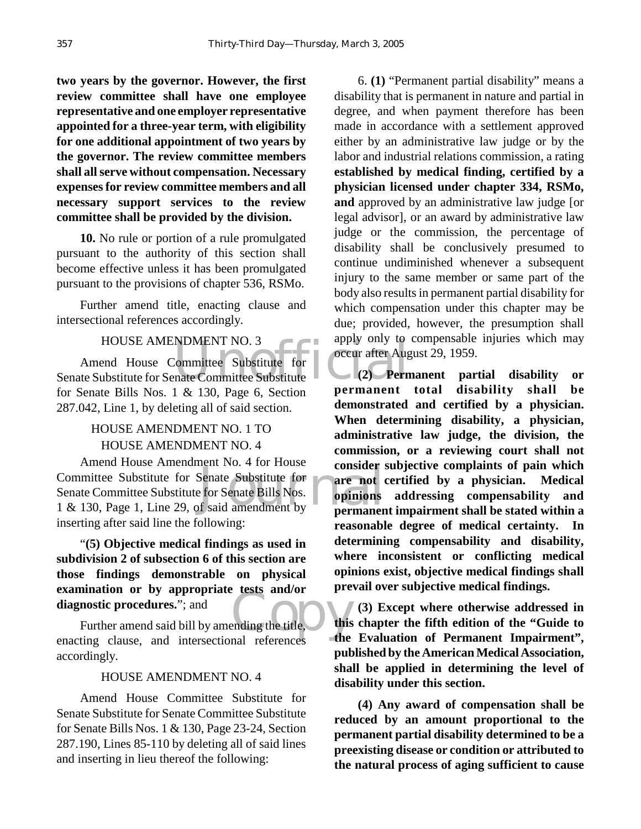**two years by the governor. However, the first review committee shall have one employee representative and one employer representative appointed for a three-year term, with eligibility for one additional appointment of two years by the governor. The review committee members shall all serve without compensation. Necessary expenses for review committee members and all necessary support services to the review committee shall be provided by the division.**

**10.** No rule or portion of a rule promulgated pursuant to the authority of this section shall become effective unless it has been promulgated pursuant to the provisions of chapter 536, RSMo.

Further amend title, enacting clause and intersectional references accordingly.

#### HOUSE AMENDMENT NO. 3

NDMENT NO. 3<br>
Committee Substitute for COCCUT after Augusta 20<br>
The Committee Substitute 120<br>
Permanent Amend House Committee Substitute for Senate Substitute for Senate Committee Substitute for Senate Bills Nos. 1 & 130, Page 6, Section 287.042, Line 1, by deleting all of said section.

# HOUSE AMENDMENT NO. 1 TO HOUSE AMENDMENT NO. 4

Friend House Amendment 100. 4 for House<br>
1 & 130, Page 1, Line 29, of said amendment by<br>
The Committee Substitute for Senate Bills Nos.<br>
1 & 130, Page 1, Line 29, of said amendment by Amend House Amendment No. 4 for House Committee Substitute for Senate Substitute for Senate Committee Substitute for Senate Bills Nos. inserting after said line the following:

"**(5) Objective medical findings as used in subdivision 2 of subsection 6 of this section are those findings demonstrable on physical examination or by appropriate tests and/or diagnostic procedures.**"; and

existed and/or<br>ending the title, this Further amend said bill by amending the title, enacting clause, and intersectional references accordingly.

#### HOUSE AMENDMENT NO. 4

Amend House Committee Substitute for Senate Substitute for Senate Committee Substitute for Senate Bills Nos. 1 & 130, Page 23-24, Section 287.190, Lines 85-110 by deleting all of said lines and inserting in lieu thereof the following:

6. **(1)** "Permanent partial disability" means a disability that is permanent in nature and partial in degree, and when payment therefore has been made in accordance with a settlement approved either by an administrative law judge or by the labor and industrial relations commission, a rating **established by medical finding, certified by a physician licensed under chapter 334, RSMo, and** approved by an administrative law judge [or legal advisor], or an award by administrative law judge or the commission, the percentage of disability shall be conclusively presumed to continue undiminished whenever a subsequent injury to the same member or same part of the body also results in permanent partial disability for which compensation under this chapter may be due; provided, however, the presumption shall apply only to compensable injuries which may occur after August 29, 1959.

**(2) Permanent partial disability or permanent total disability shall be demonstrated and certified by a physician. When determining disability, a physician, administrative law judge, the division, the commission, or a reviewing court shall not consider subjective complaints of pain which are not certified by a physician. Medical opinions addressing compensability and permanent impairment shall be stated within a reasonable degree of medical certainty. In determining compensability and disability, where inconsistent or conflicting medical opinions exist, objective medical findings shall prevail over subjective medical findings.**

**(3) Except where otherwise addressed in this chapter the fifth edition of the "Guide to the Evaluation of Permanent Impairment", published by the American Medical Association, shall be applied in determining the level of disability under this section.**

**(4) Any award of compensation shall be reduced by an amount proportional to the permanent partial disability determined to be a preexisting disease or condition or attributed to the natural process of aging sufficient to cause**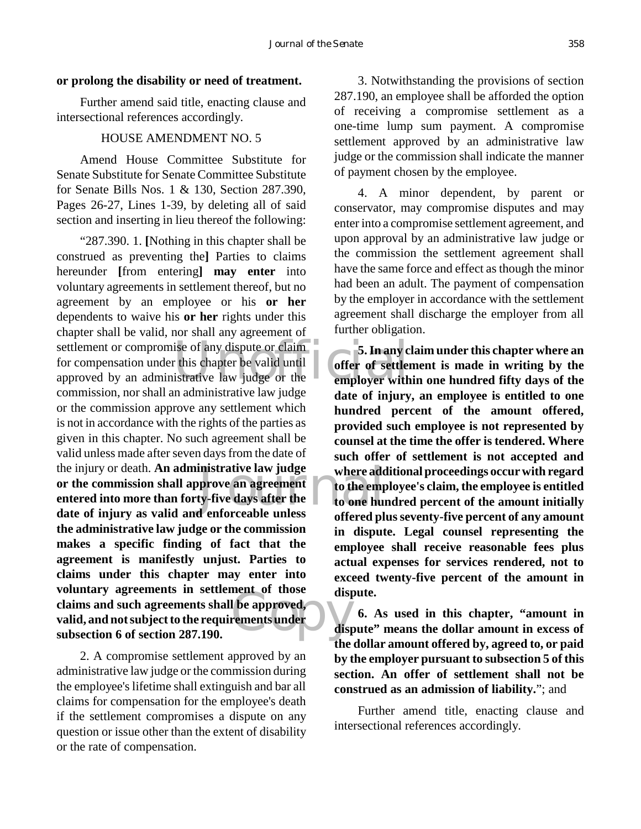#### **or prolong the disability or need of treatment.**

Further amend said title, enacting clause and intersectional references accordingly.

#### HOUSE AMENDMENT NO. 5

Amend House Committee Substitute for Senate Substitute for Senate Committee Substitute for Senate Bills Nos. 1 & 130, Section 287.390, Pages 26-27, Lines 1-39, by deleting all of said section and inserting in lieu thereof the following:

settlement or compromise of any dispute or claim<br>for compensation under this chapter be valid until<br>approved by an administrative law judge or the employer with inistrative law judge where add<br>prove an agreement to the empty-five days after the to one hui<br>denforceable unless affected at The displayer of the displayer of the displayer of the displayer of the displayer of the displayer of the displayer of the displayer of the displayer of the displayer of the displayer of the displayer of the displayer of t "287.390. 1. **[**Nothing in this chapter shall be construed as preventing the**]** Parties to claims hereunder **[**from entering**] may enter** into voluntary agreements in settlement thereof, but no agreement by an employee or his **or her** dependents to waive his **or her** rights under this chapter shall be valid, nor shall any agreement of settlement or compromise of any dispute or claim for compensation under this chapter be valid until commission, nor shall an administrative law judge or the commission approve any settlement which is not in accordance with the rights of the parties as given in this chapter. No such agreement shall be valid unless made after seven days from the date of the injury or death. **An administrative law judge or the commission shall approve an agreement entered into more than forty-five days after the date of injury as valid and enforceable unless the administrative law judge or the commission makes a specific finding of fact that the agreement is manifestly unjust. Parties to claims under this chapter may enter into voluntary agreements in settlement of those claims and such agreements shall be approved, valid, and not subject to the requirements under subsection 6 of section 287.190.**

2. A compromise settlement approved by an administrative law judge or the commission during the employee's lifetime shall extinguish and bar all claims for compensation for the employee's death if the settlement compromises a dispute on any question or issue other than the extent of disability or the rate of compensation.

3. Notwithstanding the provisions of section 287.190, an employee shall be afforded the option of receiving a compromise settlement as a one-time lump sum payment. A compromise settlement approved by an administrative law judge or the commission shall indicate the manner of payment chosen by the employee.

4. A minor dependent, by parent or conservator, may compromise disputes and may enter into a compromise settlement agreement, and upon approval by an administrative law judge or the commission the settlement agreement shall have the same force and effect as though the minor had been an adult. The payment of compensation by the employer in accordance with the settlement agreement shall discharge the employer from all further obligation.

**5. In any claim under this chapter where an offer of settlement is made in writing by the employer within one hundred fifty days of the date of injury, an employee is entitled to one hundred percent of the amount offered, provided such employee is not represented by counsel at the time the offer is tendered. Where such offer of settlement is not accepted and where additional proceedings occur with regard to the employee's claim, the employee is entitled to one hundred percent of the amount initially offered plus seventy-five percent of any amount in dispute. Legal counsel representing the employee shall receive reasonable fees plus actual expenses for services rendered, not to exceed twenty-five percent of the amount in dispute.**

**6. As used in this chapter, "amount in dispute" means the dollar amount in excess of the dollar amount offered by, agreed to, or paid by the employer pursuant to subsection 5 of this section. An offer of settlement shall not be construed as an admission of liability.**"; and

Further amend title, enacting clause and intersectional references accordingly.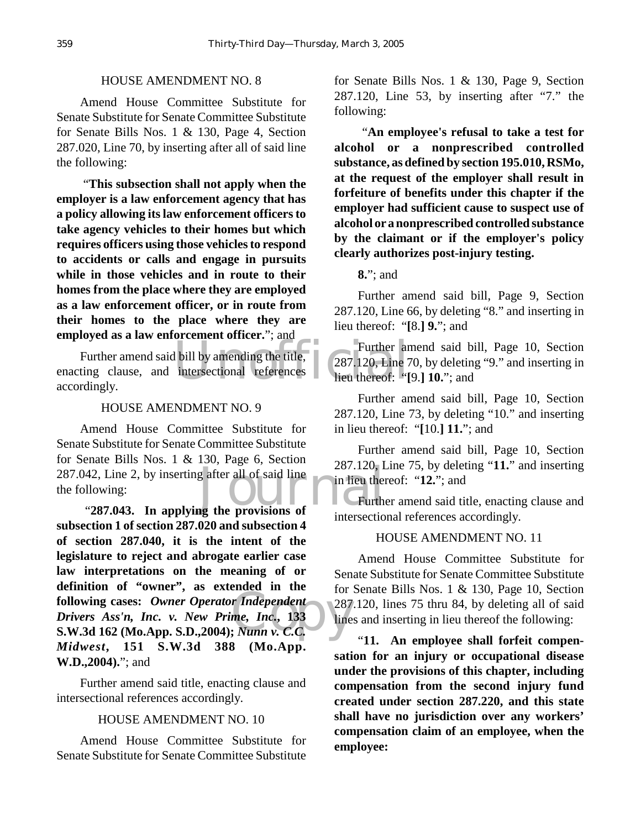#### HOUSE AMENDMENT NO. 8

Amend House Committee Substitute for Senate Substitute for Senate Committee Substitute for Senate Bills Nos. 1 & 130, Page 4, Section 287.020, Line 70, by inserting after all of said line the following:

 "**This subsection shall not apply when the employer is a law enforcement agency that has a policy allowing its law enforcement officers to take agency vehicles to their homes but which requires officers using those vehicles to respond to accidents or calls and engage in pursuits while in those vehicles and in route to their homes from the place where they are employed as a law enforcement officer, or in route from their homes to the place where they are employed as a law enforcement officer.**"; and

Further and<br>
l bill by amending the title,<br>
intersectional references<br>
lieu thereof: "[ Further amend said bill by amending the title, enacting clause, and intersectional references accordingly.

#### HOUSE AMENDMENT NO. 9

042, Line 2, by inserting after all of said line<br>
ollowing:<br>
"**287.043.** In applying the provisions of intersection Amend House Committee Substitute for Senate Substitute for Senate Committee Substitute for Senate Bills Nos. 1 & 130, Page 6, Section 287.042, Line 2, by inserting after all of said line the following:

 $\begin{array}{c}\n\text{r} \text{ Independent} \\
\text{r} \text{Independent} \\
\text{me, Inc., } 133 \\
\text{v. C.C.} \\
\end{array}$ **subsection 1 of section 287.020 and subsection 4 of section 287.040, it is the intent of the legislature to reject and abrogate earlier case law interpretations on the meaning of or definition of "owner", as extended in the following cases:** *Owner Operator Independent Drivers Ass'n, Inc. v. New Prime, Inc.***, 133 S.W.3d 162 (Mo.App. S.D.,2004);** *Nunn v. C.C. Midwest***, 151 S.W.3d 388 (Mo.App. W.D.,2004).**"; and

Further amend said title, enacting clause and intersectional references accordingly.

#### HOUSE AMENDMENT NO. 10

Amend House Committee Substitute for Senate Substitute for Senate Committee Substitute for Senate Bills Nos. 1 & 130, Page 9, Section 287.120, Line 53, by inserting after "7." the following:

 "**An employee's refusal to take a test for alcohol or a nonprescribed controlled substance, as defined by section 195.010, RSMo, at the request of the employer shall result in forfeiture of benefits under this chapter if the employer had sufficient cause to suspect use of alcohol or a nonprescribed controlled substance by the claimant or if the employer's policy clearly authorizes post-injury testing.**

**8.**"; and

Further amend said bill, Page 9, Section 287.120, Line 66, by deleting "8." and inserting in lieu thereof: "**[**8.**] 9.**"; and

Further amend said bill, Page 10, Section 287.120, Line 70, by deleting "9." and inserting in lieu thereof: "**[**9.**] 10.**"; and

Further amend said bill, Page 10, Section 287.120, Line 73, by deleting "10." and inserting in lieu thereof: "**[**10.**] 11.**"; and

Further amend said bill, Page 10, Section 287.120, Line 75, by deleting "**11.**" and inserting in lieu thereof: "**12.**"; and

Further amend said title, enacting clause and intersectional references accordingly.

#### HOUSE AMENDMENT NO. 11

Amend House Committee Substitute for Senate Substitute for Senate Committee Substitute for Senate Bills Nos. 1 & 130, Page 10, Section 287.120, lines 75 thru 84, by deleting all of said lines and inserting in lieu thereof the following:

"**11. An employee shall forfeit compensation for an injury or occupational disease under the provisions of this chapter, including compensation from the second injury fund created under section 287.220, and this state shall have no jurisdiction over any workers' compensation claim of an employee, when the employee:**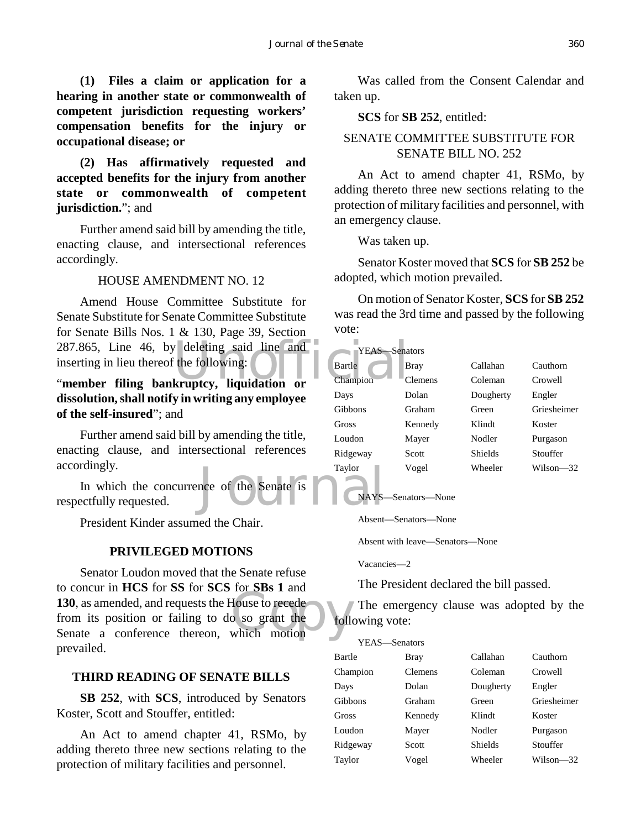**(1) Files a claim or application for a hearing in another state or commonwealth of competent jurisdiction requesting workers' compensation benefits for the injury or occupational disease; or**

# **(2) Has affirmatively requested and accepted benefits for the injury from another state or commonwealth of competent jurisdiction.**"; and

Further amend said bill by amending the title, enacting clause, and intersectional references accordingly.

#### HOUSE AMENDMENT NO. 12

287.865, Line 46, by deleting said line and YEAS Senation Strate Bartle Burn Champion Containing bankruptcy, liquidation or Amend House Committee Substitute for Senate Substitute for Senate Committee Substitute for Senate Bills Nos. 1 & 130, Page 39, Section inserting in lieu thereof the following:

# "**member filing bankruptcy, liquidation or dissolution, shall notify in writing any employee of the self-insured**"; and

Further amend said bill by amending the title, enacting clause, and intersectional references accordingly.

Taylor<br>nce of the Senate is and Taylor In which the concurrence of the Senate is respectfully requested.

President Kinder assumed the Chair.

#### **PRIVILEGED MOTIONS**

Colocal in HCS for SS for SCS for SBS 1 and<br>
130, as amended, and requests the House to recede<br>
from its position or failing to do so grant the folle<br>
Senate a conference thereon, which motion Senator Loudon moved that the Senate refuse to concur in **HCS** for **SS** for **SCS** for **SBs 1** and **130**, as amended, and requests the House to recede from its position or failing to do so grant the prevailed.

#### **THIRD READING OF SENATE BILLS**

**SB 252**, with **SCS**, introduced by Senators Koster, Scott and Stouffer, entitled:

An Act to amend chapter 41, RSMo, by adding thereto three new sections relating to the protection of military facilities and personnel.

Was called from the Consent Calendar and taken up.

**SCS** for **SB 252**, entitled:

# SENATE COMMITTEE SUBSTITUTE FOR SENATE BILL NO. 252

An Act to amend chapter 41, RSMo, by adding thereto three new sections relating to the protection of military facilities and personnel, with an emergency clause.

Was taken up.

Senator Koster moved that **SCS** for **SB 252** be adopted, which motion prevailed.

On motion of Senator Koster, **SCS** for **SB 252** was read the 3rd time and passed by the following vote:

| YEAS:    | –Senators |                |               |
|----------|-----------|----------------|---------------|
| Bartle   | Bray      | Callahan       | Cauthorn      |
| Champion | Clemens   | Coleman        | Crowell       |
| Days     | Dolan     | Dougherty      | Engler        |
| Gibbons  | Graham    | Green          | Griesheimer   |
| Gross    | Kennedy   | Klindt         | Koster        |
| Loudon   | Mayer     | Nodler         | Purgason      |
| Ridgeway | Scott     | <b>Shields</b> | Stouffer      |
| Taylor   | Vogel     | Wheeler        | $Wilson = 32$ |

#### NAYS—Senators—None

Absent—Senators—None

Absent with leave—Senators—None

Vacancies—2

The President declared the bill passed.

The emergency clause was adopted by the following vote:

| YEAS—Senators |                |           |             |  |
|---------------|----------------|-----------|-------------|--|
| Bartle        | Bray           | Callahan  | Cauthorn    |  |
| Champion      | <b>Clemens</b> | Coleman   | Crowell     |  |
| Days          | Dolan          | Dougherty | Engler      |  |
| Gibbons       | Graham         | Green     | Griesheimer |  |
| Gross         | Kennedy        | Klindt    | Koster      |  |
| Loudon        | Mayer          | Nodler    | Purgason    |  |
| Ridgeway      | Scott          | Shields   | Stouffer    |  |
| Taylor        | Vogel          | Wheeler   | Wilson—32   |  |
|               |                |           |             |  |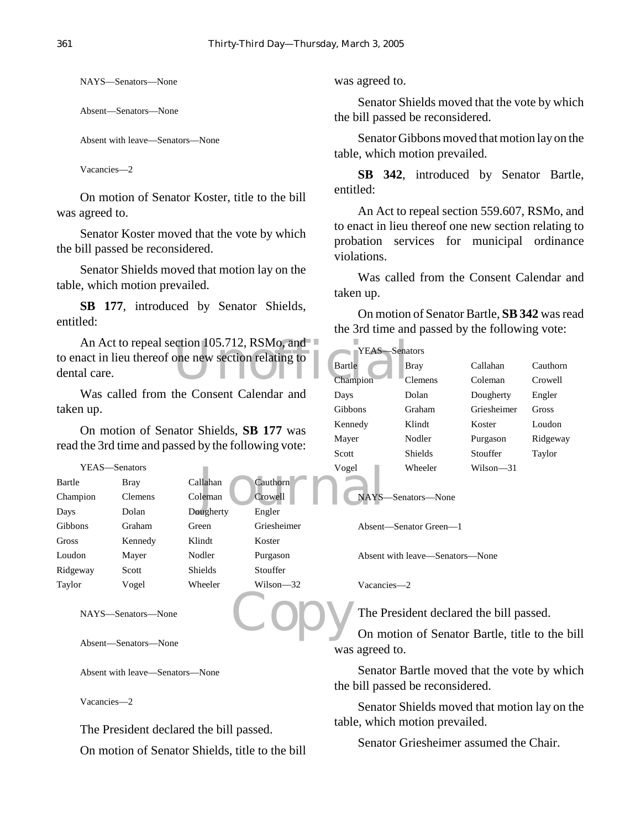NAYS—Senators—None

Absent—Senators—None

Absent with leave—Senators—None

Vacancies—2

On motion of Senator Koster, title to the bill was agreed to.

Senator Koster moved that the vote by which the bill passed be reconsidered.

Senator Shields moved that motion lay on the table, which motion prevailed.

**SB 177**, introduced by Senator Shields, entitled:

An Act to repeal section 105.712, RSMo, and and act in lieu thereof one new section relating to and a B B B B Champion to enact in lieu thereof one new section relating to dental care.

Was called from the Consent Calendar and taken up.

On motion of Senator Shields, **SB 177** was read the 3rd time and passed by the following vote:

| YEAS—Senators  |                |                |             | Vogel   |
|----------------|----------------|----------------|-------------|---------|
| Bartle         | <b>Bray</b>    | Callahan       | Cauthorn    |         |
| Champion       | <b>Clemens</b> | Coleman        | Crowell     | NAYS-   |
| Days           | Dolan          | Dougherty      | Engler      |         |
| <b>Gibbons</b> | Graham         | Green          | Griesheimer | Absent- |
| Gross          | Kennedy        | Klindt         | Koster      |         |
| Loudon         | Mayer          | Nodler         | Purgason    | Absent  |
| Ridgeway       | <b>Scott</b>   | <b>Shields</b> | Stouffer    |         |
| Taylor         | Vogel          | Wheeler        | Wilson—32   | Vacanc  |
|                |                |                |             |         |

```
NAYS—Senators—None
```
Absent—Senators—None

Absent with leave—Senators—None

Vacancies—2

The President declared the bill passed.

On motion of Senator Shields, title to the bill

was agreed to.

Senator Shields moved that the vote by which the bill passed be reconsidered.

Senator Gibbons moved that motion lay on the table, which motion prevailed.

**SB 342**, introduced by Senator Bartle, entitled:

An Act to repeal section 559.607, RSMo, and to enact in lieu thereof one new section relating to probation services for municipal ordinance violations.

Was called from the Consent Calendar and taken up.

On motion of Senator Bartle, **SB 342** was read the 3rd time and passed by the following vote:

| YEAS—Senators |                |             |          |
|---------------|----------------|-------------|----------|
| Bartle        | Bray           | Callahan    | Cauthorn |
| Champion      | <b>Clemens</b> | Coleman     | Crowell  |
| Days          | Dolan          | Dougherty   | Engler   |
| Gibbons       | Graham         | Griesheimer | Gross    |
| Kennedy       | Klindt         | Koster      | Loudon   |
| Mayer         | Nodler         | Purgason    | Ridgeway |
| Scott         | Shields        | Stouffer    | Taylor   |
| Vogel         | Wheeler        | Wilson—31   |          |

```
NAYS—Senators—None
```
Absent—Senator Green—1

Absent with leave—Senators—None

Vacancies—2

The President declared the bill passed.

Copy On motion of Senator Bartle, title to the bill was agreed to.

> Senator Bartle moved that the vote by which the bill passed be reconsidered.

> Senator Shields moved that motion lay on the table, which motion prevailed.

Senator Griesheimer assumed the Chair.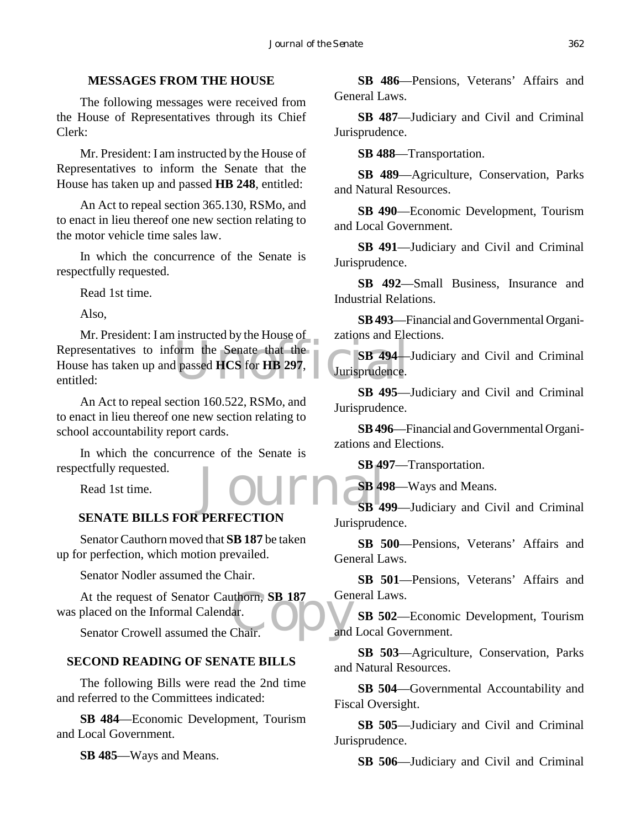# **MESSAGES FROM THE HOUSE**

The following messages were received from the House of Representatives through its Chief Clerk:

Mr. President: I am instructed by the House of Representatives to inform the Senate that the House has taken up and passed **HB 248**, entitled:

An Act to repeal section 365.130, RSMo, and to enact in lieu thereof one new section relating to the motor vehicle time sales law.

In which the concurrence of the Senate is respectfully requested.

Read 1st time.

Also,

France Communication of the Senate that the Benate that the Bassed HCS for HB 297, Mr. President: I am instructed by the House of Representatives to inform the Senate that the House has taken up and passed **HCS** for **HB 297**, entitled:

An Act to repeal section 160.522, RSMo, and to enact in lieu thereof one new section relating to school accountability report cards.

Journals In which the concurrence of the Senate is respectfully requested.

Read 1st time.

# **SENATE BILLS FOR PERFECTION**

Senator Cauthorn moved that **SB 187** be taken up for perfection, which motion prevailed.

Senator Nodler assumed the Chair.

At the request of Senator Cauthorn, **SB 187** Ger<br>
placed on the Informal Calendar.<br>
Senator Crowell assumed the Chair. was placed on the Informal Calendar.

Senator Crowell assumed the Chair.

# **SECOND READING OF SENATE BILLS**

The following Bills were read the 2nd time and referred to the Committees indicated:

**SB 484**—Economic Development, Tourism and Local Government.

**SB 485**—Ways and Means.

**SB 486**—Pensions, Veterans' Affairs and General Laws.

**SB 487**—Judiciary and Civil and Criminal Jurisprudence.

**SB 488**—Transportation.

**SB 489**—Agriculture, Conservation, Parks and Natural Resources.

**SB 490**—Economic Development, Tourism and Local Government.

**SB 491**—Judiciary and Civil and Criminal Jurisprudence.

**SB 492**—Small Business, Insurance and Industrial Relations.

**SB 493**—Financial and Governmental Organizations and Elections.

**SB 494**—Judiciary and Civil and Criminal Jurisprudence.

**SB 495**—Judiciary and Civil and Criminal Jurisprudence.

**SB 496**—Financial and Governmental Organizations and Elections.

**SB 497**—Transportation.

**SB 498**—Ways and Means.

**SB 499**—Judiciary and Civil and Criminal Jurisprudence.

**SB 500**—Pensions, Veterans' Affairs and General Laws.

**SB 501**—Pensions, Veterans' Affairs and General Laws.

**SB 502**—Economic Development, Tourism and Local Government.

**SB 503**—Agriculture, Conservation, Parks and Natural Resources.

**SB 504**—Governmental Accountability and Fiscal Oversight.

**SB 505**—Judiciary and Civil and Criminal Jurisprudence.

**SB 506**—Judiciary and Civil and Criminal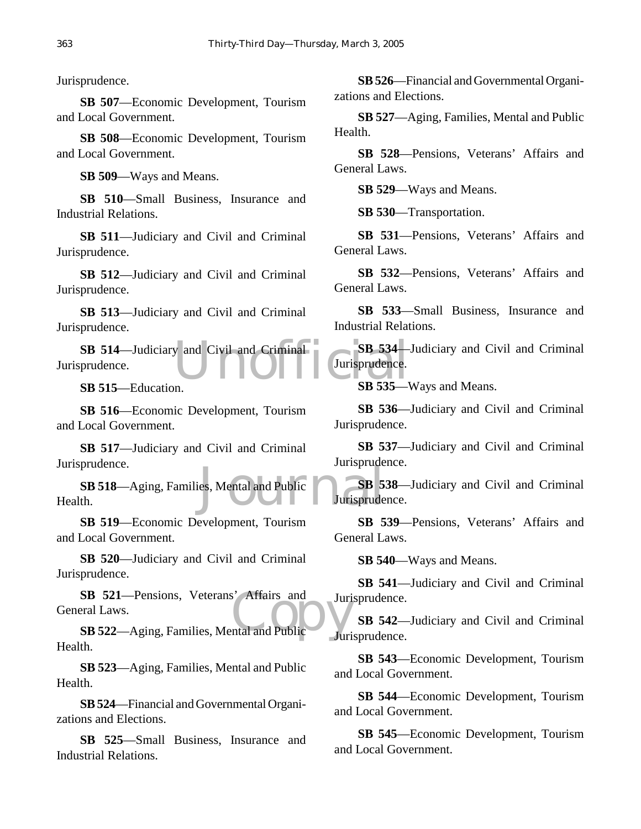Jurisprudence.

**SB 507**—Economic Development, Tourism and Local Government.

**SB 508**—Economic Development, Tourism and Local Government.

**SB 509**—Ways and Means.

**SB 510**—Small Business, Insurance and Industrial Relations.

**SB 511**—Judiciary and Civil and Criminal Jurisprudence.

**SB 512**—Judiciary and Civil and Criminal Jurisprudence.

**SB 513**—Judiciary and Civil and Criminal Jurisprudence.

SB 514—Judiciary and Civil and Criminal<br>
prudence.<br>
SB 534<br>
SB 535—Nucation<br>
SB 535—Nucation Jurisprudence.

**SB 515**—Education.

**SB 516**—Economic Development, Tourism and Local Government.

**SB 517**—Judiciary and Civil and Criminal Jurisprudence.

es, Mental and Public SB 5. **SB 518**—Aging, Families, Mental and Public Health.

**SB 519**—Economic Development, Tourism and Local Government.

**SB 520**—Judiciary and Civil and Criminal Jurisprudence.

**SB 521**—Pensions, Veterans' Affairs and Juri<br> **SB 522**—Aging, Families, Mental and Public **SB 521**—Pensions, Veterans' Affairs and General Laws.

Health.

**SB 523**—Aging, Families, Mental and Public Health.

**SB 524**—Financial and Governmental Organizations and Elections.

**SB 525**—Small Business, Insurance and Industrial Relations.

**SB 526**—Financial and Governmental Organizations and Elections.

**SB 527**—Aging, Families, Mental and Public Health.

**SB 528**—Pensions, Veterans' Affairs and General Laws.

**SB 529**—Ways and Means.

**SB 530**—Transportation.

**SB 531**—Pensions, Veterans' Affairs and General Laws.

**SB 532**—Pensions, Veterans' Affairs and General Laws.

**SB 533**—Small Business, Insurance and Industrial Relations.

**SB 534**—Judiciary and Civil and Criminal Jurisprudence.

**SB 535**—Ways and Means.

**SB 536**—Judiciary and Civil and Criminal Jurisprudence.

**SB 537**—Judiciary and Civil and Criminal Jurisprudence.

**SB 538**—Judiciary and Civil and Criminal Jurisprudence.

**SB 539**—Pensions, Veterans' Affairs and General Laws.

**SB 540**—Ways and Means.

**SB 541**—Judiciary and Civil and Criminal Jurisprudence.

**SB 542**—Judiciary and Civil and Criminal Jurisprudence.

**SB 543**—Economic Development, Tourism and Local Government.

**SB 544**—Economic Development, Tourism and Local Government.

**SB 545**—Economic Development, Tourism and Local Government.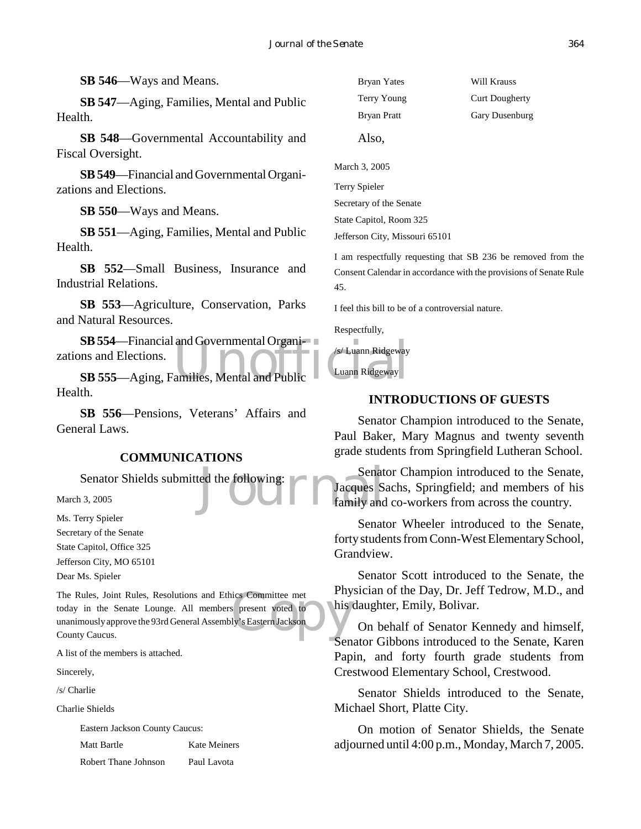**SB 546**—Ways and Means.

**SB 547**—Aging, Families, Mental and Public Health.

**SB 548**—Governmental Accountability and Fiscal Oversight.

**SB 549**—Financial and Governmental Organizations and Elections.

**SB 550**—Ways and Means.

**SB 551**—Aging, Families, Mental and Public Health.

**SB 552**—Small Business, Insurance and Industrial Relations.

**SB 553**—Agriculture, Conservation, Parks and Natural Resources.

SB 554—Financial and Governmental Organisms<br>
ons and Elections.<br>
SB 555—Aging, Families, Mental and Public Luann Ridgeway **SB 554**—Financial and Governmental Organizations and Elections.

Health.

**SB 556**—Pensions, Veterans' Affairs and General Laws.

# **COMMUNICATIONS**

Senator Shields submitted the following:

March 3, 2005

Ms. Terry Spieler

Secretary of the Senate State Capitol, Office 325 Jefferson City, MO 65101

Dear Ms. Spieler

The Rules, Joint Rules, Resolutions and Ethics Committee met<br>
today in the Senate Lounge. All members present voted to<br>
unanimously approve the 93rd General Assembly's Eastern Jackson<br>
County Caucus. today in the Senate Lounge. All members present voted to unanimously approve the 93rd General Assembly's Eastern Jackson County Caucus.

A list of the members is attached.

Sincerely,

/s/ Charlie

Charlie Shields

Eastern Jackson County Caucus:

Matt Bartle **Kate Meiners** 

Robert Thane Johnson Paul Lavota

Bryan Yates Will Krauss Terry Young Curt Dougherty Bryan Pratt Gary Dusenburg Also,

March 3, 2005 Terry Spieler Secretary of the Senate State Capitol, Room 325 Jefferson City, Missouri 65101

I am respectfully requesting that SB 236 be removed from the Consent Calendar in accordance with the provisions of Senate Rule 45.

I feel this bill to be of a controversial nature.

Respectfully,

/s/ Luann Ridgeway

Luann Ridgeway

#### **INTRODUCTIONS OF GUESTS**

Senator Champion introduced to the Senate, Paul Baker, Mary Magnus and twenty seventh grade students from Springfield Lutheran School.

Senat<br>
Extends the following:<br>
The Jacques Senat<br>
Tamily and Senator Champion introduced to the Senate, Jacques Sachs, Springfield; and members of his family and co-workers from across the country.

> Senator Wheeler introduced to the Senate, forty students from Conn-West Elementary School, Grandview.

> Senator Scott introduced to the Senate, the Physician of the Day, Dr. Jeff Tedrow, M.D., and his daughter, Emily, Bolivar.

> On behalf of Senator Kennedy and himself, Senator Gibbons introduced to the Senate, Karen Papin, and forty fourth grade students from Crestwood Elementary School, Crestwood.

> Senator Shields introduced to the Senate, Michael Short, Platte City.

> On motion of Senator Shields, the Senate adjourned until 4:00 p.m., Monday, March 7, 2005.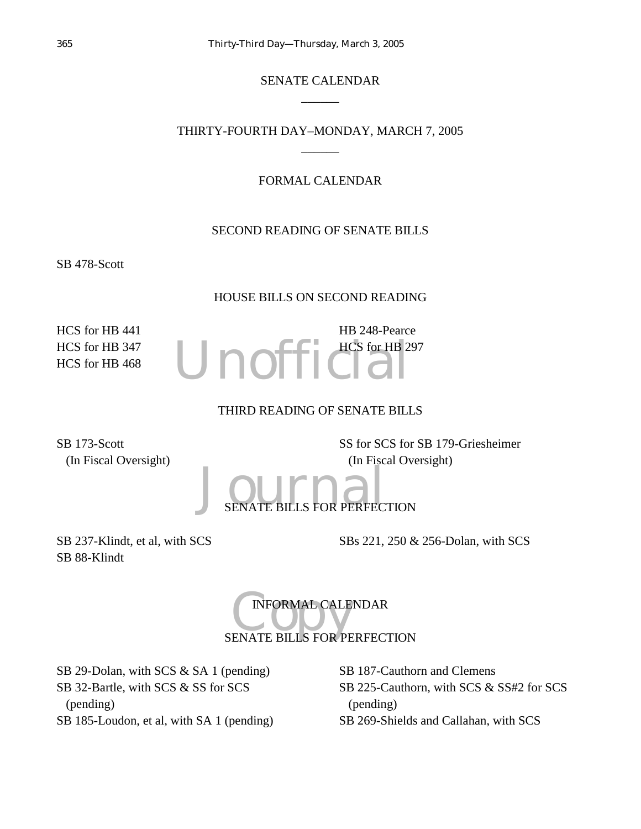# SENATE CALENDAR  $\overline{\phantom{a}}$

# THIRTY-FOURTH DAY–MONDAY, MARCH 7, 2005  $\overline{\phantom{a}}$

# FORMAL CALENDAR

# SECOND READING OF SENATE BILLS

SB 478-Scott

# HOUSE BILLS ON SECOND READING

HCS for HB 441 HCS for HB 347 HCS for HB 468 Unoffic HB 248-Pearce HCS for HB 297

# THIRD READING OF SENATE BILLS

SB 173-Scott (In Fiscal Oversight) SS for SCS for SB 179-Griesheimer (In Fiscal Oversight)

J<sub>SENATE BILLS</sub> FOR PERFECTION

SB 237-Klindt, et al, with SCS SB 88-Klindt

SBs 221, 250 & 256-Dolan, with SCS

INFORMAL CALENDAR<br>SENATE BILLS FOR PERFECTION INFORMAL CALENDAR

SB 29-Dolan, with SCS & SA 1 (pending) SB 32-Bartle, with SCS & SS for SCS (pending) SB 185-Loudon, et al, with SA 1 (pending) SB 187-Cauthorn and Clemens SB 225-Cauthorn, with SCS & SS#2 for SCS (pending) SB 269-Shields and Callahan, with SCS